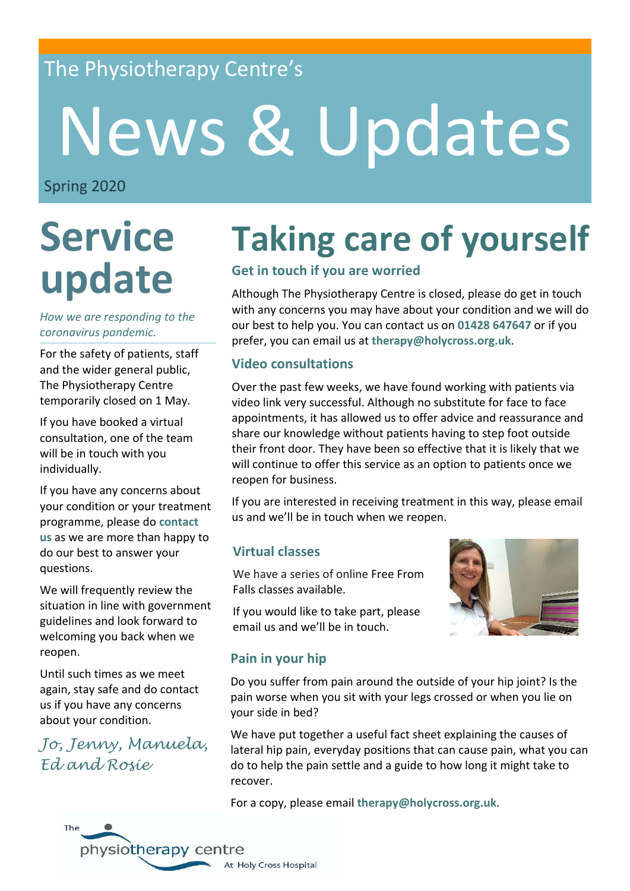### The Physiotherapy Centre's

# News & Updates

Spring 2020

## **Service update**

### *coronavirus pandemic. How we are responding to the*

For the safety of patients, staff and the wider general public, The Physiotherapy Centre temporarily closed on 1 May.

If you have booked a virtual consultation, one of the team will be in touch with you individually.

If you have any concerns about your condition or your treatment programme, please do **contact us** as we are more than happy to do our best to answer your questions.

We will frequently review the situation in line with government guidelines and look forward to welcoming you back when we reopen.

Until such times as we meet again, stay safe and do contact us if you have any concerns about your condition.

*Jo, Jenny, Manuela, Ed and Rosie*

### **Taking care of yourself**

### **Get in touch if you are worried**

Although The Physiotherapy Centre is closed, please do get in touch with any concerns you may have about your condition and we will do our best to help you. You can contact us on **01428 647647** or if you prefer, you can email us at **therapy@holycross.org.uk**.

### **Video consultations**

Over the past few weeks, we have found working with patients via video link very successful. Although no substitute for face to face appointments, it has allowed us to offer advice and reassurance and share our knowledge without patients having to step foot outside their front door. They have been so effective that it is likely that we will continue to offer this service as an option to patients once we reopen for business.

If you are interested in receiving treatment in this way, please email us and we'll be in touch when we reopen.

### **Virtual classes**

We have a series of online Free From Falls classes available.

If you would like to take part, please email us and we'll be in touch.



### **Pain in your hip**

Do you suffer from pain around the outside of your hip joint? Is the pain worse when you sit with your legs crossed or when you lie on your side in bed?

We have put together a useful fact sheet explaining the causes of lateral hip pain, everyday positions that can cause pain, what you can do to help the pain settle and a guide to how long it might take to recover.

For a copy, please email **therapy@holycross.org.uk**.